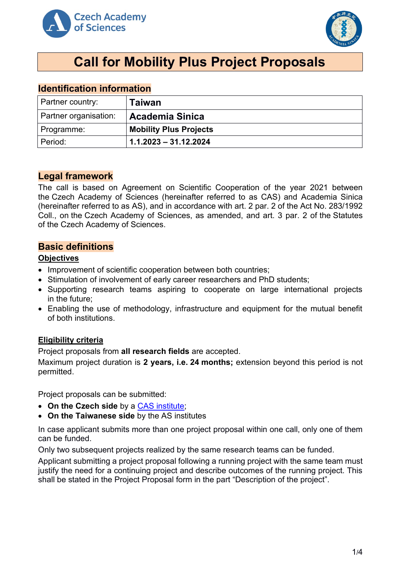



# **Call for Mobility Plus Project Proposals**

# **Identification information**

| Partner country:      | Taiwan                        |
|-----------------------|-------------------------------|
| Partner organisation: | <b>Academia Sinica</b>        |
| Programme:            | <b>Mobility Plus Projects</b> |
| I Period:             | $1.1.2023 - 31.12.2024$       |

# **Legal framework**

The call is based on Agreement on Scientific Cooperation of the year 2021 between the Czech Academy of Sciences (hereinafter referred to as CAS) and Academia Sinica (hereinafter referred to as AS), and in accordance with art. 2 par. 2 of the Act No. 283/1992 Coll., on the Czech Academy of Sciences, as amended, and art. 3 par. 2 of the Statutes of the Czech Academy of Sciences.

# **Basic definitions**

#### **Objectives**

- Improvement of scientific cooperation between both countries;
- Stimulation of involvement of early career researchers and PhD students;
- Supporting research teams aspiring to cooperate on large international projects in the future;
- Enabling the use of methodology, infrastructure and equipment for the mutual benefit of both institutions.

# **Eligibility criteria**

Project proposals from **all research fields** are accepted.

Maximum project duration is **2 years, i.e. 24 months;** extension beyond this period is not permitted.

Project proposals can be submitted:

- **On the Czech side** by a [CAS institute;](http://www.avcr.cz/en/about-us/cas-structure/research-institutes/)
- **On the Taiwanese side** by the AS institutes

In case applicant submits more than one project proposal within one call, only one of them can be funded.

Only two subsequent projects realized by the same research teams can be funded.

Applicant submitting a project proposal following a running project with the same team must justify the need for a continuing project and describe outcomes of the running project. This shall be stated in the Project Proposal form in the part "Description of the project".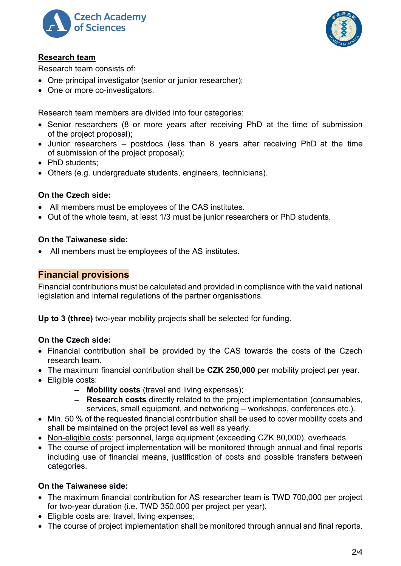



# **Research team**

Research team consists of:

- One principal investigator (senior or junior researcher);
- One or more co-investigators.

Research team members are divided into four categories:

- Senior researchers (8 or more years after receiving PhD at the time of submission of the project proposal);
- Junior researchers postdocs (less than 8 years after receiving PhD at the time of submission of the project proposal);
- PhD students:
- Others (e.g. undergraduate students, engineers, technicians).

# **On the Czech side:**

- All members must be employees of the CAS institutes.
- Out of the whole team, at least 1/3 must be junior researchers or PhD students.

# **On the Taiwanese side:**

• All members must be employees of the AS institutes.

# **Financial provisions**

Financial contributions must be calculated and provided in compliance with the valid national legislation and internal regulations of the partner organisations.

**Up to 3 (three)** two-year mobility projects shall be selected for funding.

# **On the Czech side:**

- Financial contribution shall be provided by the CAS towards the costs of the Czech research team.
- The maximum financial contribution shall be **CZK 250,000** per mobility project per year.
- Eligible costs:
	- − **Mobility costs** (travel and living expenses);
	- − **Research costs** directly related to the project implementation (consumables, services, small equipment, and networking – workshops, conferences etc.).
- Min. 50 % of the requested financial contribution shall be used to cover mobility costs and shall be maintained on the project level as well as yearly.
- Non-eligible costs: personnel, large equipment (exceeding CZK 80,000), overheads.
- The course of project implementation will be monitored through annual and final reports including use of financial means, justification of costs and possible transfers between categories.

# **On the Taiwanese side:**

- The maximum financial contribution for AS researcher team is TWD 700,000 per project for two-year duration (i.e. TWD 350,000 per project per year).
- Eligible costs are: travel, living expenses;
- The course of project implementation shall be monitored through annual and final reports.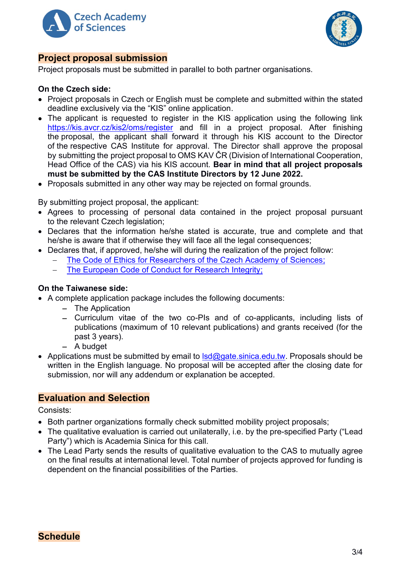



# **Project proposal submission**

Project proposals must be submitted in parallel to both partner organisations.

#### **On the Czech side:**

- Project proposals in Czech or English must be complete and submitted within the stated deadline exclusively via the "KIS" online application.
- The applicant is requested to register in the KIS application using the following link <https://kis.avcr.cz/kis2/oms/register> and fill in a project proposal. After finishing the proposal, the applicant shall forward it through his KIS account to the Director of the respective CAS Institute for approval. The Director shall approve the proposal by submitting the project proposal to OMS KAV ČR (Division of International Cooperation, Head Office of the CAS) via his KIS account. **Bear in mind that all project proposals must be submitted by the CAS Institute Directors by 12 June 2022.**
- Proposals submitted in any other way may be rejected on formal grounds.

By submitting project proposal, the applicant:

- Agrees to processing of personal data contained in the project proposal pursuant to the relevant Czech legislation;
- Declares that the information he/she stated is accurate, true and complete and that he/she is aware that if otherwise they will face all the legal consequences;
- Declares that, if approved, he/she will during the realization of the project follow:
	- The Code of Ethics for Researchers of [the Czech Academy of Sciences;](https://www.avcr.cz/en/about-us/legal-regulations/code-of-ethics-for-researchers-of-the-czech-academy-of-sciences/)
	- The European Code of Conduct for Research Integrity:

# **On the Taiwanese side:**

- A complete application package includes the following documents:
	- − The Application
	- − Curriculum vitae of the two co-PIs and of co-applicants, including lists of publications (maximum of 10 relevant publications) and grants received (for the past 3 years).
	- − A budget
- Applications must be submitted by email to  $\text{lsd}$ @gate.sinica.edu.tw. Proposals should be written in the English language. No proposal will be accepted after the closing date for submission, nor will any addendum or explanation be accepted.

# **Evaluation and Selection**

Consists:

- Both partner organizations formally check submitted mobility project proposals;
- The qualitative evaluation is carried out unilaterally, i.e. by the pre-specified Party ("Lead Party") which is Academia Sinica for this call.
- The Lead Party sends the results of qualitative evaluation to the CAS to mutually agree on the final results at international level. Total number of projects approved for funding is dependent on the financial possibilities of the Parties.